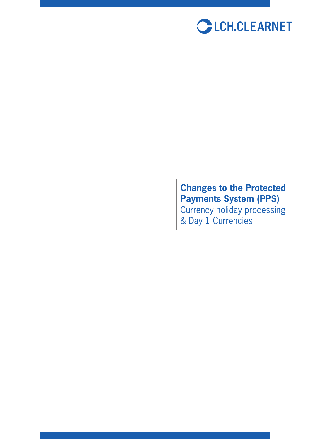

# **Changes to the Protected Payments System (PPS)**

Currency holiday processing & Day 1 Currencies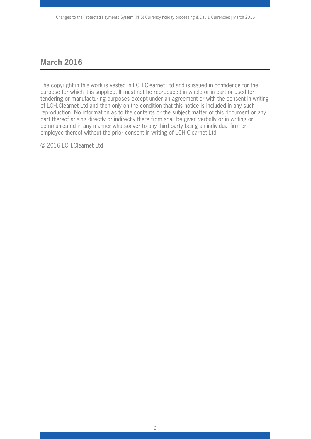## **March 2016**

The copyright in this work is vested in LCH.Clearnet Ltd and is issued in confidence for the purpose for which it is supplied. It must not be reproduced in whole or in part or used for tendering or manufacturing purposes except under an agreement or with the consent in writing of LCH.Clearnet Ltd and then only on the condition that this notice is included in any such reproduction. No information as to the contents or the subject matter of this document or any part thereof arising directly or indirectly there from shall be given verbally or in writing or communicated in any manner whatsoever to any third party being an individual firm or employee thereof without the prior consent in writing of LCH.Clearnet Ltd.

© 2016 LCH.Clearnet Ltd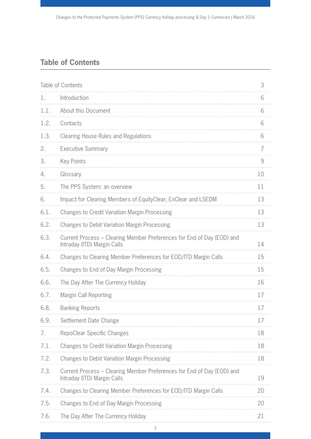## **Table of Contents**

| Table of Contents |                                                                                                       |    |
|-------------------|-------------------------------------------------------------------------------------------------------|----|
| 1.                | Introduction                                                                                          | 6  |
| 1.1.              | About this Document                                                                                   | 6  |
| 1.2.              | Contacts                                                                                              | 6  |
| 1.3.              | <b>Clearing House Rules and Regulations</b>                                                           | 6  |
| 2.                | <b>Executive Summary</b>                                                                              | 7  |
| 3.                | <b>Key Points</b>                                                                                     | 9  |
| 4.                | Glossary                                                                                              | 10 |
| 5.                | The PPS System: an overview                                                                           | 11 |
| 6.                | Impact for Clearing Members of EquityClear, EnClear and LSEDM                                         | 13 |
| 6.1.              | <b>Changes to Credit Variation Margin Processing</b>                                                  | 13 |
| 6.2.              | <b>Changes to Debit Variation Margin Processing</b>                                                   | 13 |
| 6.3.              | Current Process - Clearing Member Preferences for End of Day (EOD) and<br>Intraday (ITD) Margin Calls | 14 |
| 6.4.              | Changes to Clearing Member Preferences for EOD/ITD Margin Calls                                       | 15 |
| 6.5.              | Changes to End of Day Margin Processing                                                               | 15 |
| 6.6.              | The Day After The Currency Holiday                                                                    | 16 |
| 6.7.              | <b>Margin Call Reporting</b>                                                                          | 17 |
| 6.8.              | <b>Banking Reports</b>                                                                                | 17 |
| 6.9.              | Settlement Date Change                                                                                | 17 |
| 7.                | RepoClear Specific Changes                                                                            | 18 |
| 7.1.              | <b>Changes to Credit Variation Margin Processing</b>                                                  | 18 |
| 7.2.              | <b>Changes to Debit Variation Margin Processing</b>                                                   | 18 |
| 7.3.              | Current Process – Clearing Member Preferences for End of Day (EOD) and<br>Intraday (ITD) Margin Calls | 19 |
| 7.4.              | Changes to Clearing Member Preferences for EOD/ITD Margin Calls                                       | 20 |
| 7.5.              | Changes to End of Day Margin Processing                                                               | 20 |
| 7.6.              | The Day After The Currency Holiday                                                                    | 21 |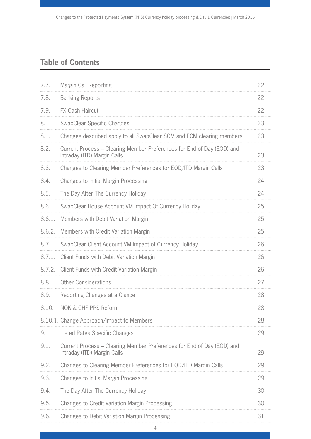## **Table of Contents**

| 7.7.   | Margin Call Reporting                                                                                 | 22 |
|--------|-------------------------------------------------------------------------------------------------------|----|
| 7.8.   | <b>Banking Reports</b>                                                                                | 22 |
| 7.9.   | <b>FX Cash Haircut</b>                                                                                | 22 |
| 8.     | SwapClear Specific Changes                                                                            | 23 |
| 8.1.   | Changes described apply to all SwapClear SCM and FCM clearing members                                 | 23 |
| 8.2.   | Current Process - Clearing Member Preferences for End of Day (EOD) and<br>Intraday (ITD) Margin Calls | 23 |
| 8.3.   | Changes to Clearing Member Preferences for EOD/ITD Margin Calls                                       | 23 |
| 8.4.   | <b>Changes to Initial Margin Processing</b>                                                           | 24 |
| 8.5.   | The Day After The Currency Holiday                                                                    | 24 |
| 8.6.   | SwapClear House Account VM Impact Of Currency Holiday                                                 | 25 |
| 8.6.1. | Members with Debit Variation Margin                                                                   | 25 |
| 8.6.2. | Members with Credit Variation Margin                                                                  | 25 |
| 8.7.   | SwapClear Client Account VM Impact of Currency Holiday                                                | 26 |
| 8.7.1. | Client Funds with Debit Variation Margin                                                              | 26 |
| 8.7.2. | Client Funds with Credit Variation Margin                                                             | 26 |
| 8.8.   | <b>Other Considerations</b>                                                                           | 27 |
| 8.9.   | Reporting Changes at a Glance                                                                         | 28 |
| 8.10.  | NOK & CHF PPS Reform                                                                                  | 28 |
|        | 8.10.1. Change Approach/Impact to Members                                                             | 28 |
| 9.     | Listed Rates Specific Changes                                                                         | 29 |
| 9.1.   | Current Process – Clearing Member Preferences for End of Day (EOD) and<br>Intraday (ITD) Margin Calls | 29 |
| 9.2.   | Changes to Clearing Member Preferences for EOD/ITD Margin Calls                                       | 29 |
| 9.3.   | <b>Changes to Initial Margin Processing</b>                                                           | 29 |
| 9.4.   | The Day After The Currency Holiday                                                                    | 30 |
| 9.5.   | <b>Changes to Credit Variation Margin Processing</b>                                                  | 30 |
| 9.6.   | <b>Changes to Debit Variation Margin Processing</b>                                                   | 31 |

4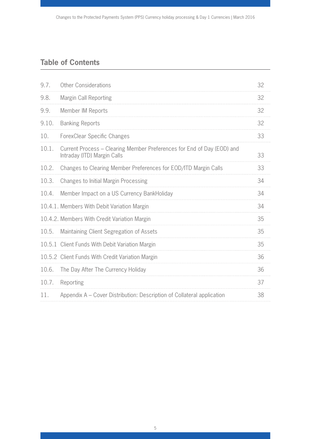## **Table of Contents**

| 9.7.  | <b>Other Considerations</b>                                                                           | 32 |
|-------|-------------------------------------------------------------------------------------------------------|----|
| 9.8.  | Margin Call Reporting                                                                                 | 32 |
| 9.9.  | Member IM Reports                                                                                     | 32 |
| 9.10. | <b>Banking Reports</b>                                                                                | 32 |
| 10.   | <b>ForexClear Specific Changes</b>                                                                    | 33 |
| 10.1. | Current Process - Clearing Member Preferences for End of Day (EOD) and<br>Intraday (ITD) Margin Calls | 33 |
| 10.2. | Changes to Clearing Member Preferences for EOD/ITD Margin Calls                                       | 33 |
| 10.3. | <b>Changes to Initial Margin Processing</b>                                                           | 34 |
| 10.4. | Member Impact on a US Currency BankHoliday                                                            | 34 |
|       | 10.4.1. Members With Debit Variation Margin                                                           | 34 |
|       | 10.4.2. Members With Credit Variation Margin                                                          | 35 |
| 10.5. | Maintaining Client Segregation of Assets                                                              | 35 |
|       | 10.5.1 Client Funds With Debit Variation Margin                                                       | 35 |
|       | 10.5.2 Client Funds With Credit Variation Margin                                                      | 36 |
| 10.6. | The Day After The Currency Holiday                                                                    | 36 |
| 10.7. | Reporting                                                                                             | 37 |
| 11.   | Appendix A – Cover Distribution: Description of Collateral application                                | 38 |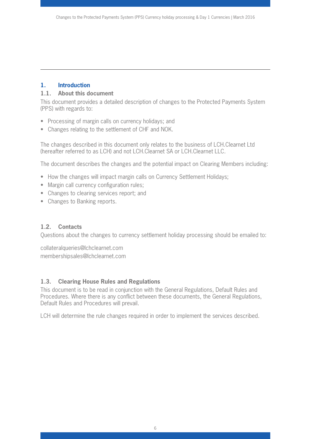## **1. Introduction**

### **1.1. About this document**

This document provides a detailed description of changes to the Protected Payments System (PPS) with regards to:

- Processing of margin calls on currency holidays; and
- Changes relating to the settlement of CHF and NOK.

The changes described in this document only relates to the business of LCH.Clearnet Ltd (hereafter referred to as LCH) and not LCH.Clearnet SA or LCH.Clearnet LLC.

The document describes the changes and the potential impact on Clearing Members including:

- How the changes will impact margin calls on Currency Settlement Holidays;
- Margin call currency configuration rules;
- Changes to clearing services report; and
- Changes to Banking reports.

## **1.2. Contacts**

Questions about the changes to currency settlement holiday processing should be emailed to:

collateralqueries@lchclearnet.com membershipsales@lchclearnet.com

## **1.3. Clearing House Rules and Regulations**

This document is to be read in conjunction with the General Regulations, Default Rules and Procedures. Where there is any conflict between these documents, the General Regulations, Default Rules and Procedures will prevail.

LCH will determine the rule changes required in order to implement the services described.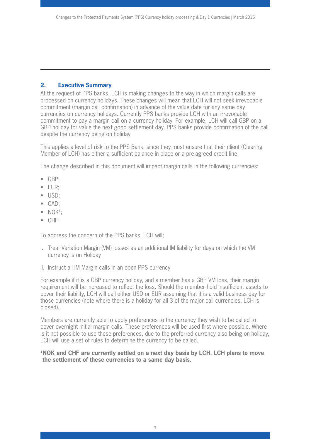#### **2. Executive Summary**

At the request of PPS banks, LCH is making changes to the way in which margin calls are processed on currency holidays. These changes will mean that LCH will not seek irrevocable commitment (margin call confirmation) in advance of the value date for any same day currencies on currency holidays. Currently PPS banks provide LCH with an irrevocable commitment to pay a margin call on a currency holiday. For example, LCH will call GBP on a GBP holiday for value the next good settlement day. PPS banks provide confirmation of the call despite the currency being on holiday.

This applies a level of risk to the PPS Bank, since they must ensure that their client (Clearing Member of LCH) has either a sufficient balance in place or a pre-agreed credit line.

The change described in this document will impact margin calls in the following currencies:

- GBP;
- EUR;
- USD;
- CAD;
- $\bullet$  NOK<sup>1</sup>:
- $\bullet$  CHF<sup>1</sup>

To address the concern of the PPS banks, LCH will;

- I. Treat Variation Margin (VM) losses as an additional IM liability for days on which the VM currency is on Holiday
- II. Instruct all IM Margin calls in an open PPS currency

For example if it is a GBP currency holiday, and a member has a GBP VM loss, their margin requirement will be increased to reflect the loss. Should the member hold insufficient assets to cover their liability, LCH will call either USD or EUR assuming that it is a valid business day for those currencies (note where there is a holiday for all 3 of the major call currencies, LCH is closed).

Members are currently able to apply preferences to the currency they wish to be called to cover overnight initial margin calls. These preferences will be used first where possible. Where is it not possible to use these preferences, due to the preferred currency also being on holiday, LCH will use a set of rules to determine the currency to be called.

#### **1NOK and CHF are currently settled on a next day basis by LCH. LCH plans to move the settlement of these currencies to a same day basis.**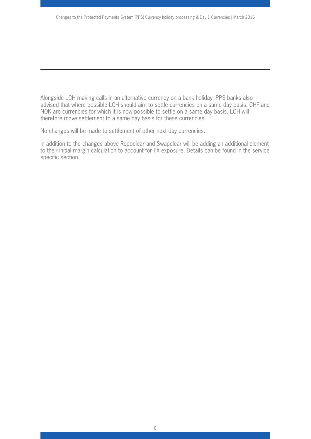Alongside LCH making calls in an alternative currency on a bank holiday, PPS banks also advised that where possible LCH should aim to settle currencies on a same day basis. CHF and NOK are currencies for which it is now possible to settle on a same day basis. LCH will therefore move settlement to a same day basis for these currencies.

No changes will be made to settlement of other next day currencies.

In addition to the changes above Repoclear and Swapclear will be adding an additional element to their initial margin calculation to account for FX exposure. Details can be found in the service specific section.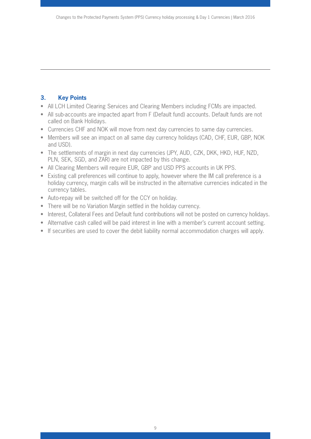## **3. Key Points**

- All LCH Limited Clearing Services and Clearing Members including FCMs are impacted.
- All sub-accounts are impacted apart from F (Default fund) accounts. Default funds are not called on Bank Holidays.
- Currencies CHF and NOK will move from next day currencies to same day currencies.
- Members will see an impact on all same day currency holidays (CAD, CHF, EUR, GBP, NOK and USD).
- The settlements of margin in next day currencies (JPY, AUD, CZK, DKK, HKD, HUF, NZD, PLN, SEK, SGD, and ZAR) are not impacted by this change.
- All Clearing Members will require EUR, GBP and USD PPS accounts in UK PPS.
- Existing call preferences will continue to apply, however where the IM call preference is a holiday currency, margin calls will be instructed in the alternative currencies indicated in the currency tables.
- Auto-repay will be switched off for the CCY on holiday.
- There will be no Variation Margin settled in the holiday currency.
- Interest, Collateral Fees and Default fund contributions will not be posted on currency holidays.
- Alternative cash called will be paid interest in line with a member's current account setting.
- If securities are used to cover the debit liability normal accommodation charges will apply.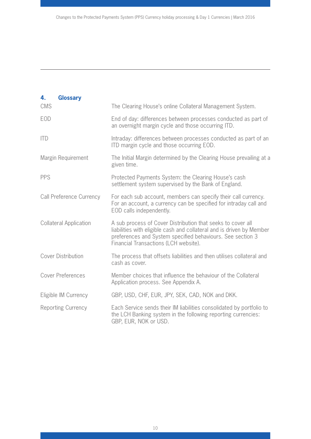| 4.<br><b>Glossary</b>           |                                                                                                                                                                                                                                             |
|---------------------------------|---------------------------------------------------------------------------------------------------------------------------------------------------------------------------------------------------------------------------------------------|
| <b>CMS</b>                      | The Clearing House's online Collateral Management System.                                                                                                                                                                                   |
| <b>EOD</b>                      | End of day: differences between processes conducted as part of<br>an overnight margin cycle and those occurring ITD.                                                                                                                        |
| <b>ITD</b>                      | Intraday: differences between processes conducted as part of an<br>ITD margin cycle and those occurring EOD.                                                                                                                                |
| Margin Requirement              | The Initial Margin determined by the Clearing House prevailing at a<br>given time.                                                                                                                                                          |
| <b>PPS</b>                      | Protected Payments System: the Clearing House's cash<br>settlement system supervised by the Bank of England.                                                                                                                                |
| <b>Call Preference Currency</b> | For each sub account, members can specify their call currency.<br>For an account, a currency can be specified for intraday call and<br>EOD calls independently.                                                                             |
| <b>Collateral Application</b>   | A sub process of Cover Distribution that seeks to cover all<br>liabilities with eligible cash and collateral and is driven by Member<br>preferences and System specified behaviours. See section 3<br>Financial Transactions (LCH website). |
| <b>Cover Distribution</b>       | The process that offsets liabilities and then utilises collateral and<br>cash as cover.                                                                                                                                                     |
| <b>Cover Preferences</b>        | Member choices that influence the behaviour of the Collateral<br>Application process. See Appendix A.                                                                                                                                       |
| Eligible IM Currency            | GBP, USD, CHF, EUR, JPY, SEK, CAD, NOK and DKK.                                                                                                                                                                                             |
| Reporting Currency              | Each Service sends their IM liabilities consolidated by portfolio to<br>the LCH Banking system in the following reporting currencies:<br>GBP, EUR, NOK or USD.                                                                              |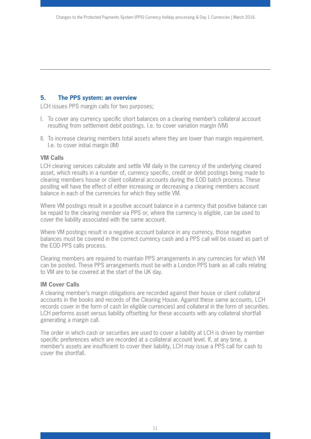#### **5. The PPS system: an overview**

LCH issues PPS margin calls for two purposes;

- I. To cover any currency specific short balances on a clearing member's collateral account resulting from settlement debit postings. I.e. to cover variation margin (VM)
- II. To increase clearing members total assets where they are lower than margin requirement. I.e. to cover initial margin (IM)

#### **VM Calls**

LCH clearing services calculate and settle VM daily in the currency of the underlying cleared asset, which results in a number of, currency specific, credit or debit postings being made to clearing members house or client collateral accounts during the EOD batch process. These positing will have the effect of either increasing or decreasing a clearing members account balance in each of the currencies for which they settle VM.

Where VM postings result in a positive account balance in a currency that positive balance can be repaid to the clearing member via PPS or, where the currency is eligible, can be used to cover the liability associated with the same account.

Where VM postings result in a negative account balance in any currency, those negative balances must be covered in the correct currency cash and a PPS call will be issued as part of the EOD PPS calls process.

Clearing members are required to maintain PPS arrangements in any currencies for which VM can be posted. These PPS arrangements must be with a London PPS bank as all calls relating to VM are to be covered at the start of the UK day.

#### **IM Cover Calls**

A clearing member's margin obligations are recorded against their house or client collateral accounts in the books and records of the Clearing House. Against these same accounts, LCH records cover in the form of cash (in eligible currencies) and collateral in the form of securities. LCH performs asset versus liability offsetting for these accounts with any collateral shortfall generating a margin call.

The order in which cash or securities are used to cover a liability at LCH is driven by member specific preferences which are recorded at a collateral account level. If, at any time, a member's assets are insufficient to cover their liability, LCH may issue a PPS call for cash to cover the shortfall.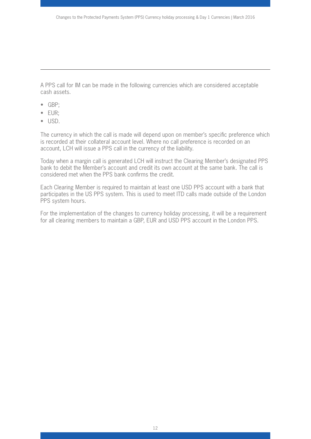A PPS call for IM can be made in the following currencies which are considered acceptable cash assets.

- GBP;
- EUR;
- USD.

The currency in which the call is made will depend upon on member's specific preference which is recorded at their collateral account level. Where no call preference is recorded on an account, LCH will issue a PPS call in the currency of the liability.

Today when a margin call is generated LCH will instruct the Clearing Member's designated PPS bank to debit the Member's account and credit its own account at the same bank. The call is considered met when the PPS bank confirms the credit.

Each Clearing Member is required to maintain at least one USD PPS account with a bank that participates in the US PPS system. This is used to meet ITD calls made outside of the London PPS system hours.

For the implementation of the changes to currency holiday processing, it will be a requirement for all clearing members to maintain a GBP, EUR and USD PPS account in the London PPS.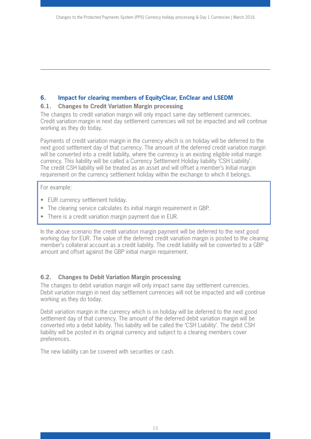#### **6. Impact for clearing members of EquityClear, EnClear and LSEDM**

#### **6.1. Changes to Credit Variation Margin processing**

The changes to credit variation margin will only impact same day settlement currencies. Credit variation margin in next day settlement currencies will not be impacted and will continue working as they do today.

Payments of credit variation margin in the currency which is on holiday will be deferred to the next good settlement day of that currency. The amount of the deferred credit variation margin will be converted into a credit liability, where the currency is an existing eligible initial margin currency. This liability will be called a Currency Settlement Holiday liability 'CSH Liability'. The credit CSH liability will be treated as an asset and will offset a member's Initial margin requirement on the currency settlement holiday within the exchange to which it belongs.

For example:

- EUR currency settlement holiday.
- The clearing service calculates its initial margin requirement in GBP.
- There is a credit variation margin payment due in EUR.

In the above scenario the credit variation margin payment will be deferred to the next good working day for EUR. The value of the deferred credit variation margin is posted to the clearing member's collateral account as a credit liability. The credit liability will be converted to a GBP amount and offset against the GBP initial margin requirement.

#### **6.2. Changes to Debit Variation Margin processing**

The changes to debit variation margin will only impact same day settlement currencies. Debit variation margin in next day settlement currencies will not be impacted and will continue working as they do today.

Debit variation margin in the currency which is on holiday will be deferred to the next good settlement day of that currency. The amount of the deferred debit variation margin will be converted into a debit liability. This liability will be called the 'CSH Liability'. The debit CSH liability will be posted in its original currency and subject to a clearing members cover preferences.

The new liability can be covered with securities or cash.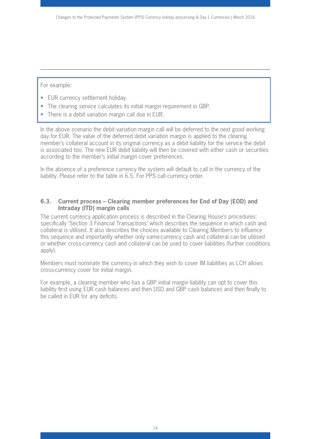For example:

- EUR currency settlement holiday.
- The clearing service calculates its initial margin requirement in GBP.
- There is a debit variation margin call due in EUR.

In the above scenario the debit variation margin call will be deferred to the next good working day for EUR. The value of the deferred debit variation margin is applied to the clearing member's collateral account in its original currency as a debit liability for the service the debit is associated too. The new EUR debit liability will then be covered with either cash or securities according to the member's initial margin cover preferences.

In the absence of a preference currency the system will default to call in the currency of the liability. Please refer to the table in 6.5. For PPS call currency order.

#### **6.3. Current process – Clearing member preferences for End of Day (EOD) and Intraday (ITD) margin calls**

The current currency application process is described in the Clearing House's procedures: specifically 'Section 3 Financial Transactions' which describes the sequence in which cash and collateral is utilised. It also describes the choices available to Clearing Members to influence this sequence and importantly whether only same-currency cash and collateral can be utilised or whether cross-currency cash and collateral can be used to cover liabilities (further conditions apply).

Members must nominate the currency in which they wish to cover IM liabilities as LCH allows cross-currency cover for initial margin.

For example, a clearing member who has a GBP initial margin liability can opt to cover this liability first using EUR cash balances and then USD and GBP cash balances and then finally to be called in EUR for any deficits.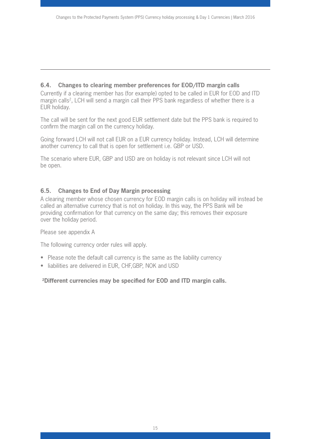### **6.4. Changes to clearing member preferences for EOD/ITD margin calls**

Currently if a clearing member has (for example) opted to be called in EUR for EOD and ITD margin calls<sup>2</sup>, LCH will send a margin call their PPS bank regardless of whether there is a EUR holiday.

The call will be sent for the next good EUR settlement date but the PPS bank is required to confirm the margin call on the currency holiday.

Going forward LCH will not call EUR on a EUR currency holiday. Instead, LCH will determine another currency to call that is open for settlement i.e. GBP or USD.

The scenario where EUR, GBP and USD are on holiday is not relevant since LCH will not be open.

#### **6.5. Changes to End of Day Margin processing**

A clearing member whose chosen currency for EOD margin calls is on holiday will instead be called an alternative currency that is not on holiday. In this way, the PPS Bank will be providing confirmation for that currency on the same day; this removes their exposure over the holiday period.

Please see appendix A

The following currency order rules will apply.

- Please note the default call currency is the same as the liability currency
- liabilities are delivered in EUR, CHF, GBP, NOK and USD

#### **2Different currencies may be specified for EOD and ITD margin calls.**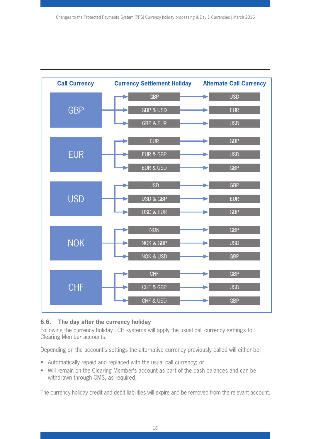

## **6.6. The day after the currency holiday**

Following the currency holiday LCH systems will apply the usual call currency settings to Clearing Member accounts:

Depending on the account's settings the alternative currency previously called will either be:

- Automatically repaid and replaced with the usual call currency; or
- Will remain on the Clearing Member's account as part of the cash balances and can be withdrawn through CMS, as required.

The currency holiday credit and debit liabilities will expire and be removed from the relevant account.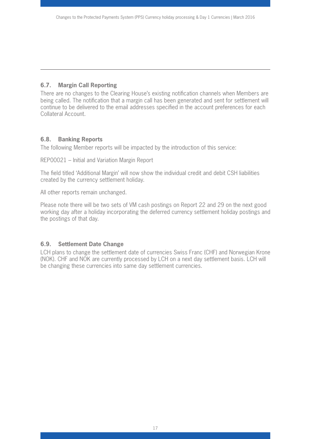## **6.7. Margin Call Reporting**

There are no changes to the Clearing House's existing notification channels when Members are being called. The notification that a margin call has been generated and sent for settlement will continue to be delivered to the email addresses specified in the account preferences for each Collateral Account.

#### **6.8. Banking Reports**

The following Member reports will be impacted by the introduction of this service:

REP00021 – Initial and Variation Margin Report

The field titled 'Additional Margin' will now show the individual credit and debit CSH liabilities created by the currency settlement holiday.

All other reports remain unchanged.

Please note there will be two sets of VM cash postings on Report 22 and 29 on the next good working day after a holiday incorporating the deferred currency settlement holiday postings and the postings of that day.

## **6.9. Settlement Date Change**

LCH plans to change the settlement date of currencies Swiss Franc (CHF) and Norwegian Krone (NOK). CHF and NOK are currently processed by LCH on a next day settlement basis. LCH will be changing these currencies into same day settlement currencies.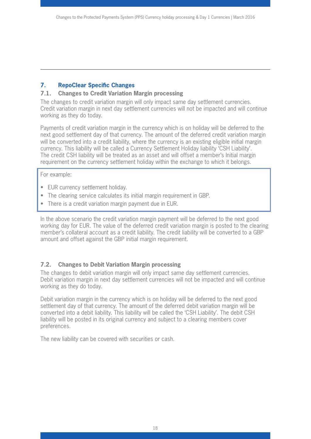## **7. RepoClear Specific Changes**

#### **7.1. Changes to Credit Variation Margin processing**

The changes to credit variation margin will only impact same day settlement currencies. Credit variation margin in next day settlement currencies will not be impacted and will continue working as they do today.

Payments of credit variation margin in the currency which is on holiday will be deferred to the next good settlement day of that currency. The amount of the deferred credit variation margin will be converted into a credit liability, where the currency is an existing eligible initial margin currency. This liability will be called a Currency Settlement Holiday liability 'CSH Liability'. The credit CSH liability will be treated as an asset and will offset a member's Initial margin requirement on the currency settlement holiday within the exchange to which it belongs.

For example:

- EUR currency settlement holiday.
- The clearing service calculates its initial margin requirement in GBP.
- There is a credit variation margin payment due in EUR.

In the above scenario the credit variation margin payment will be deferred to the next good working day for EUR. The value of the deferred credit variation margin is posted to the clearing member's collateral account as a credit liability. The credit liability will be converted to a GBP amount and offset against the GBP initial margin requirement.

## **7.2. Changes to Debit Variation Margin processing**

The changes to debit variation margin will only impact same day settlement currencies. Debit variation margin in next day settlement currencies will not be impacted and will continue working as they do today.

Debit variation margin in the currency which is on holiday will be deferred to the next good settlement day of that currency. The amount of the deferred debit variation margin will be converted into a debit liability. This liability will be called the 'CSH Liability'. The debit CSH liability will be posted in its original currency and subject to a clearing members cover preferences.

The new liability can be covered with securities or cash.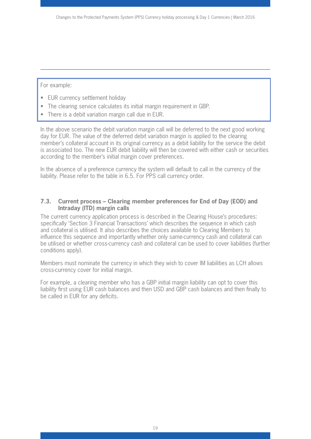For example:

- EUR currency settlement holiday
- The clearing service calculates its initial margin requirement in GBP.
- There is a debit variation margin call due in EUR.

In the above scenario the debit variation margin call will be deferred to the next good working day for EUR. The value of the deferred debit variation margin is applied to the clearing member's collateral account in its original currency as a debit liability for the service the debit is associated too. The new EUR debit liability will then be covered with either cash or securities according to the member's initial margin cover preferences.

In the absence of a preference currency the system will default to call in the currency of the liability. Please refer to the table in 6.5. For PPS call currency order.

#### **7.3. Current process – Clearing member preferences for End of Day (EOD) and Intraday (ITD) margin calls**

The current currency application process is described in the Clearing House's procedures: specifically 'Section 3 Financial Transactions' which describes the sequence in which cash and collateral is utilised. It also describes the choices available to Clearing Members to influence this sequence and importantly whether only same-currency cash and collateral can be utilised or whether cross-currency cash and collateral can be used to cover liabilities (further conditions apply).

Members must nominate the currency in which they wish to cover IM liabilities as LCH allows cross-currency cover for initial margin.

For example, a clearing member who has a GBP initial margin liability can opt to cover this liability first using EUR cash balances and then USD and GBP cash balances and then finally to be called in EUR for any deficits.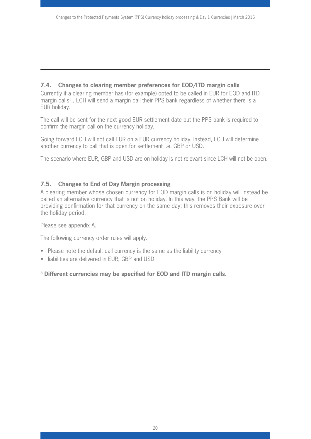#### **7.4. Changes to clearing member preferences for EOD/ITD margin calls**

Currently if a clearing member has (for example) opted to be called in EUR for EOD and ITD margin calls<sup>3</sup>, LCH will send a margin call their PPS bank regardless of whether there is a EUR holiday.

The call will be sent for the next good EUR settlement date but the PPS bank is required to confirm the margin call on the currency holiday.

Going forward LCH will not call EUR on a EUR currency holiday. Instead, LCH will determine another currency to call that is open for settlement i.e. GBP or USD.

The scenario where EUR, GBP and USD are on holiday is not relevant since LCH will not be open.

#### **7.5. Changes to End of Day Margin processing**

A clearing member whose chosen currency for EOD margin calls is on holiday will instead be called an alternative currency that is not on holiday. In this way, the PPS Bank will be providing confirmation for that currency on the same day; this removes their exposure over the holiday period.

Please see appendix A.

The following currency order rules will apply.

- Please note the default call currency is the same as the liability currency
- liabilities are delivered in EUR, GBP and USD

#### **3 Different currencies may be specified for EOD and ITD margin calls.**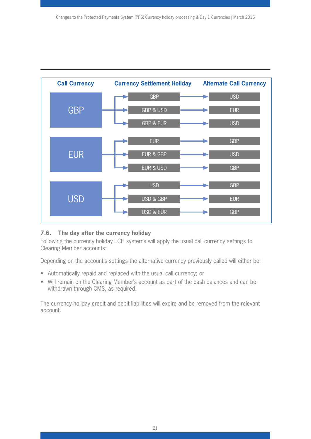

## **7.6. The day after the currency holiday**

Following the currency holiday LCH systems will apply the usual call currency settings to Clearing Member accounts:

Depending on the account's settings the alternative currency previously called will either be:

- Automatically repaid and replaced with the usual call currency; or
- Will remain on the Clearing Member's account as part of the cash balances and can be withdrawn through CMS, as required.

The currency holiday credit and debit liabilities will expire and be removed from the relevant account.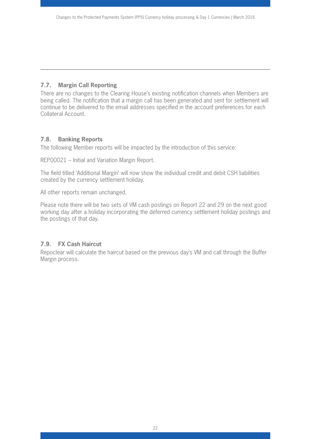## **7.7. Margin Call Reporting**

There are no changes to the Clearing House's existing notification channels when Members are being called. The notification that a margin call has been generated and sent for settlement will continue to be delivered to the email addresses specified in the account preferences for each Collateral Account.

#### **7.8. Banking Reports**

The following Member reports will be impacted by the introduction of this service:

REP00021 – Initial and Variation Margin Report.

The field titled 'Additional Margin' will now show the individual credit and debit CSH liabilities created by the currency settlement holiday.

All other reports remain unchanged.

Please note there will be two sets of VM cash postings on Report 22 and 29 on the next good working day after a holiday incorporating the deferred currency settlement holiday postings and the postings of that day.

## **7.9. FX Cash Haircut**

Repoclear will calculate the haircut based on the previous day's VM and call through the Buffer Margin process.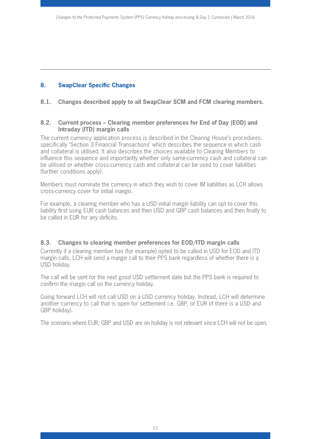## **8. SwapClear Specific Changes**

#### **8.1. Changes described apply to all SwapClear SCM and FCM clearing members.**

#### **8.2. Current process – Clearing member preferences for End of Day (EOD) and Intraday (ITD) margin calls**

The current currency application process is described in the Clearing House's procedures: specifically 'Section 3 Financial Transactions' which describes the sequence in which cash and collateral is utilised. It also describes the choices available to Clearing Members to influence this sequence and importantly whether only same-currency cash and collateral can be utilised or whether cross-currency cash and collateral can be used to cover liabilities (further conditions apply).

Members must nominate the currency in which they wish to cover IM liabilities as LCH allows cross-currency cover for initial margin.

For example, a clearing member who has a USD initial margin liability can opt to cover this liability first using EUR cash balances and then USD and GBP cash balances and then finally to be called in EUR for any deficits.

#### **8.3. Changes to clearing member preferences for EOD/ITD margin calls**

Currently if a clearing member has (for example) opted to be called in USD for EOD and ITD margin calls, LCH will send a margin call to their PPS bank regardless of whether there is a USD holiday.

The call will be sent for the next good USD settlement date but the PPS bank is required to confirm the margin call on the currency holiday.

Going forward LCH will not call USD on a USD currency holiday. Instead, LCH will determine another currency to call that is open for settlement i.e. GBP, or EUR (if there is a USD and GBP holiday).

The scenario where EUR, GBP and USD are on holiday is not relevant since LCH will not be open.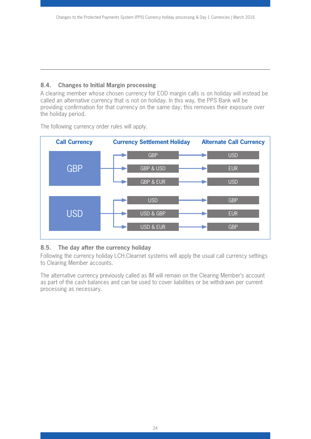## **8.4. Changes to Initial Margin processing**

A clearing member whose chosen currency for EOD margin calls is on holiday will instead be called an alternative currency that is not on holiday. In this way, the PPS Bank will be providing confirmation for that currency on the same day; this removes their exposure over the holiday period.



The following currency order rules will apply.

## **8.5. The day after the currency holiday**

Following the currency holiday LCH.Clearnet systems will apply the usual call currency settings to Clearing Member accounts.

The alternative currency previously called as IM will remain on the Clearing Member's account as part of the cash balances and can be used to cover liabilities or be withdrawn per current processing as necessary.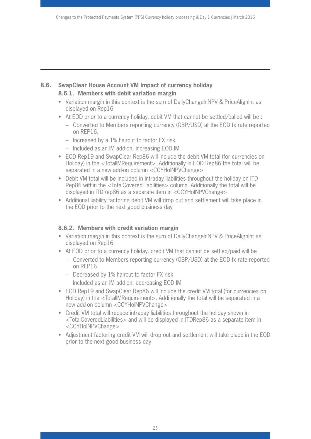#### **8.6. SwapClear House Account VM Impact of currency holiday 8.6.1. Members with debit variation margin**

- Variation margin in this context is the sum of DailyChangeInNPV & PriceAlignInt as displayed on Rep16
- At EOD prior to a currency holiday, debit VM that cannot be settled/called will be :
	- Converted to Members reporting currency (GBP/USD) at the EOD fx rate reported on REP16.
	- Increased by a 1% haircut to factor FX risk
	- Included as an IM add-on, increasing EOD IM
- EOD Rep19 and SwapClear Rep86 will include the debit VM total (for currencies on Holiday) in the <TotalIMRequirement>. Additionally in EOD Rep86 the total will be separated in a new add-on column <CCYHolNPVChange>
- Debit VM total will be included in intraday liabilities throughout the holiday on ITD Rep86 within the <TotalCoveredLiabilities> column. Additionally the total will be displayed in ITDRep86 as a separate item in <CCYHolNPVChange>
- Additional liability factoring debit VM will drop out and settlement will take place in the EOD prior to the next good business day

## **8.6.2. Members with credit variation margin**

- Variation margin in this context is the sum of DailyChangeInNPV & PriceAlignInt as displayed on Rep16
- At EOD prior to a currency holiday, credit VM that cannot be settled/paid will be
	- Converted to Members reporting currency (GBP/USD) at the EOD fx rate reported on REP16.
	- Decreased by 1% haircut to factor FX risk
	- Included as an IM add-on, decreasing EOD IM
- EOD Rep19 and SwapClear Rep86 will include the credit VM total (for currencies on Holiday) in the <TotalIMRequirement>. Additionally the total will be separated in a new add-on column <CCYHolNPVChange>
- Credit VM total will reduce intraday liabilities throughout the holiday shown in <TotalCoveredLiabilities> and will be displayed in ITDRep86 as a separate item in <CCYHolNPVChange>
- Adjustment factoring credit VM will drop out and settlement will take place in the EOD prior to the next good business day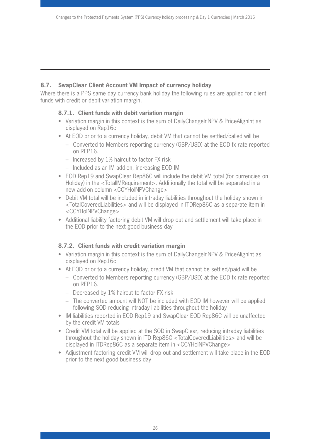## **8.7. SwapClear Client Account VM Impact of currency holiday**

Where there is a PPS same day currency bank holiday the following rules are applied for client funds with credit or debit variation margin.

## **8.7.1. Client funds with debit variation margin**

- Variation margin in this context is the sum of DailyChangeInNPV & PriceAlignInt as displayed on Rep16c
- At EOD prior to a currency holiday, debit VM that cannot be settled/called will be
	- Converted to Members reporting currency (GBP/USD) at the EOD fx rate reported on REP16.
	- Increased by 1% haircut to factor FX risk
	- Included as an IM add-on, increasing EOD IM
- EOD Rep19 and SwapClear Rep86C will include the debit VM total (for currencies on Holiday) in the <TotalIMRequirement>. Additionally the total will be separated in a new add-on column <CCYHolNPVChange>
- Debit VM total will be included in intraday liabilities throughout the holiday shown in <TotalCoveredLiabilities> and will be displayed in ITDRep86C as a separate item in <CCYHolNPVChange>
- Additional liability factoring debit VM will drop out and settlement will take place in the EOD prior to the next good business day

## **8.7.2. Client funds with credit variation margin**

- Variation margin in this context is the sum of DailyChangeInNPV & PriceAlignInt as displayed on Rep16c
- At EOD prior to a currency holiday, credit VM that cannot be settled/paid will be
	- Converted to Members reporting currency (GBP/USD) at the EOD fx rate reported on REP16.
	- Decreased by 1% haircut to factor FX risk
	- The converted amount will NOT be included with EOD IM however will be applied following SOD reducing intraday liabilities throughout the holiday
- IM liabilities reported in EOD Rep19 and SwapClear EOD Rep86C will be unaffected by the credit VM totals
- Credit VM total will be applied at the SOD in SwapClear, reducing intraday liabilities throughout the holiday shown in ITD Rep86C <TotalCoveredLiabilities> and will be displayed in ITDRep86C as a separate item in <CCYHolNPVChange>
- Adjustment factoring credit VM will drop out and settlement will take place in the EOD prior to the next good business day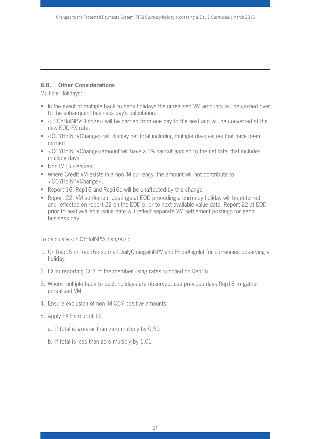## **8.8. Other Considerations**

Multiple Holidays:

- In the event of multiple back to back holidays the unrealised VM amounts will be carried over to the subsequent business day's calculation.
- < CCYHolNPVChange> will be carried from one day to the next and will be converted at the new EOD FX rate.
- <CCYHolNPVChange> will display net total including multiple days values that have been carried
- <CCYHolNPVChange>amount will have a 1% haircut applied to the net total that includes multiple days
- Non IM Currencies:
- Where Credit VM exists in a non IM currency, the amount will not contribute to <CCYHolNPVChange>.
- Report 16: Rep16 and Rep16c will be unaffected by this change
- Report 22: VM settlement postings at EOD preceding a currency holiday will be deferred and reflected on report 22 on the EOD prior to next available value date. Report 22 at EOD prior to next available value date will reflect separate VM settlement postings for each business day.

To calculate < CCYHolNPVChange> :

- 1. On Rep16 or Rep16c sum all DailyChangeInNPV and PriceAlignInt for currencies observing a holiday.
- 2. FX to reporting CCY of the member using rates supplied on Rep16
- 3. Where multiple back to back holidays are observed, use previous days Rep16 to gather unrealised VM.
- 4. Ensure exclusion of non IM CCY positive amounts.
- 5. Apply FX Haircut of 1%
	- a. If total is greater than zero multiply by 0.99
	- b. If total is less than zero multiply by 1.01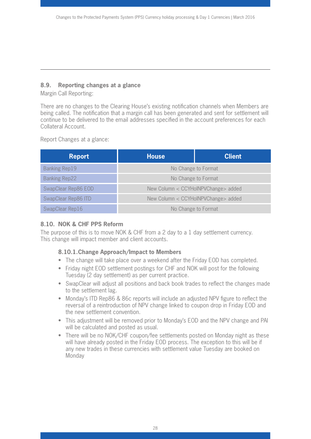## **8.9. Reporting changes at a glance**

Margin Call Reporting:

There are no changes to the Clearing House's existing notification channels when Members are being called. The notification that a margin call has been generated and sent for settlement will continue to be delivered to the email addresses specified in the account preferences for each Collateral Account.

Report Changes at a glance:

| <b>Report</b>        | <b>House</b>                        | <b>Client</b> |
|----------------------|-------------------------------------|---------------|
| <b>Banking Rep19</b> | No Change to Format                 |               |
| <b>Banking Rep22</b> | No Change to Format                 |               |
| SwapClear Rep86 EOD  | New Column < CCYHolNPVChange> added |               |
| SwapClear Rep86 ITD  | New Column < CCYHolNPVChange> added |               |
| SwapClear Rep16      | No Change to Format                 |               |

## **8.10. NOK & CHF PPS Reform**

The purpose of this is to move NOK & CHF from a 2 day to a 1 day settlement currency. This change will impact member and client accounts.

## **8.10.1.Change Approach/Impact to Members**

- The change will take place over a weekend after the Friday EOD has completed.
- Friday night EOD settlement postings for CHF and NOK will post for the following Tuesday (2 day settlement) as per current practice.
- SwapClear will adjust all positions and back book trades to reflect the changes made to the settlement lag.
- Monday's ITD Rep86 & 86c reports will include an adjusted NPV figure to reflect the reversal of a reintroduction of NPV change linked to coupon drop in Friday EOD and the new settlement convention.
- This adjustment will be removed prior to Monday's EOD and the NPV change and PAI will be calculated and posted as usual.
- There will be no NOK/CHF coupon/fee settlements posted on Monday night as these will have already posted in the Friday EOD process. The exception to this will be if any new trades in these currencies with settlement value Tuesday are booked on Monday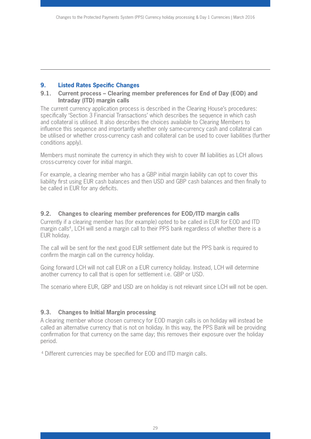## **9. Listed Rates Specific Changes**

#### **9.1. Current process – Clearing member preferences for End of Day (EOD) and Intraday (ITD) margin calls**

The current currency application process is described in the Clearing House's procedures: specifically 'Section 3 Financial Transactions' which describes the sequence in which cash and collateral is utilised. It also describes the choices available to Clearing Members to influence this sequence and importantly whether only same-currency cash and collateral can be utilised or whether cross-currency cash and collateral can be used to cover liabilities (further conditions apply).

Members must nominate the currency in which they wish to cover IM liabilities as LCH allows cross-currency cover for initial margin.

For example, a clearing member who has a GBP initial margin liability can opt to cover this liability first using EUR cash balances and then USD and GBP cash balances and then finally to be called in EUR for any deficits.

#### **9.2. Changes to clearing member preferences for EOD/ITD margin calls**

Currently if a clearing member has (for example) opted to be called in EUR for EOD and ITD margin calls<sup>4</sup>, LCH will send a margin call to their PPS bank regardless of whether there is a EUR holiday.

The call will be sent for the next good EUR settlement date but the PPS bank is required to confirm the margin call on the currency holiday.

Going forward LCH will not call EUR on a EUR currency holiday. Instead, LCH will determine another currency to call that is open for settlement i.e. GBP or USD.

The scenario where EUR, GBP and USD are on holiday is not relevant since LCH will not be open.

## **9.3. Changes to Initial Margin processing**

A clearing member whose chosen currency for EOD margin calls is on holiday will instead be called an alternative currency that is not on holiday. In this way, the PPS Bank will be providing confirmation for that currency on the same day; this removes their exposure over the holiday period.

4 Different currencies may be specified for EOD and ITD margin calls.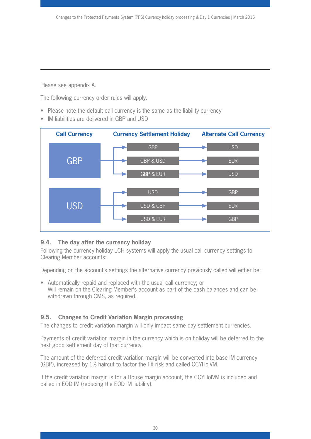Please see appendix A.

The following currency order rules will apply.

- Please note the default call currency is the same as the liability currency
- IM liabilities are delivered in GBP and USD



## **9.4. The day after the currency holiday**

Following the currency holiday LCH systems will apply the usual call currency settings to Clearing Member accounts:

Depending on the account's settings the alternative currency previously called will either be:

• Automatically repaid and replaced with the usual call currency; or Will remain on the Clearing Member's account as part of the cash balances and can be withdrawn through CMS, as required.

## **9.5. Changes to Credit Variation Margin processing**

The changes to credit variation margin will only impact same day settlement currencies.

Payments of credit variation margin in the currency which is on holiday will be deferred to the next good settlement day of that currency.

The amount of the deferred credit variation margin will be converted into base IM currency (GBP), increased by 1% haircut to factor the FX risk and called CCYHolVM.

If the credit variation margin is for a House margin account, the CCYHolVM is included and called in EOD IM (reducing the EOD IM liability).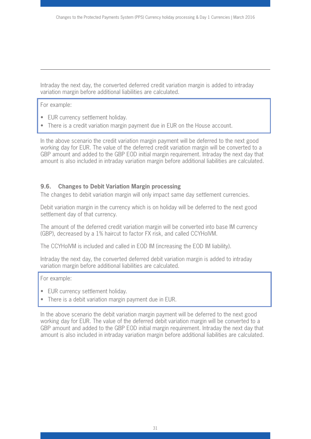Intraday the next day, the converted deferred credit variation margin is added to intraday variation margin before additional liabilities are calculated.

For example:

- EUR currency settlement holiday.
- There is a credit variation margin payment due in EUR on the House account.

In the above scenario the credit variation margin payment will be deferred to the next good working day for EUR. The value of the deferred credit variation margin will be converted to a GBP amount and added to the GBP EOD initial margin requirement. Intraday the next day that amount is also included in intraday variation margin before additional liabilities are calculated.

#### **9.6. Changes to Debit Variation Margin processing**

The changes to debit variation margin will only impact same day settlement currencies.

Debit variation margin in the currency which is on holiday will be deferred to the next good settlement day of that currency.

The amount of the deferred credit variation margin will be converted into base IM currency (GBP), decreased by a 1% haircut to factor FX risk, and called CCYHolVM.

The CCYHolVM is included and called in EOD IM (increasing the EOD IM liability).

Intraday the next day, the converted deferred debit variation margin is added to intraday variation margin before additional liabilities are calculated.

For example:

- EUR currency settlement holiday.
- There is a debit variation margin payment due in EUR.

In the above scenario the debit variation margin payment will be deferred to the next good working day for EUR. The value of the deferred debit variation margin will be converted to a GBP amount and added to the GBP EOD initial margin requirement. Intraday the next day that amount is also included in intraday variation margin before additional liabilities are calculated.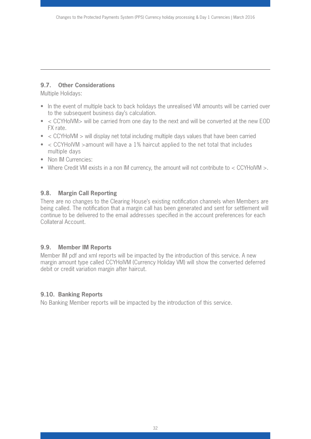## **9.7. Other Considerations**

Multiple Holidays:

- In the event of multiple back to back holidays the unrealised VM amounts will be carried over to the subsequent business day's calculation.
- < CCYHolVM> will be carried from one day to the next and will be converted at the new EOD FX rate.
- < CCYHolVM > will display net total including multiple days values that have been carried
- < CCYHolVM >amount will have a 1% haircut applied to the net total that includes multiple days
- Non IM Currencies:
- Where Credit VM exists in a non IM currency, the amount will not contribute to < CCYHolVM >.

## **9.8. Margin Call Reporting**

There are no changes to the Clearing House's existing notification channels when Members are being called. The notification that a margin call has been generated and sent for settlement will continue to be delivered to the email addresses specified in the account preferences for each Collateral Account.

## **9.9. Member IM Reports**

Member IM pdf and xml reports will be impacted by the introduction of this service. A new margin amount type called CCYHolVM (Currency Holiday VM) will show the converted deferred debit or credit variation margin after haircut.

## **9.10. Banking Reports**

No Banking Member reports will be impacted by the introduction of this service.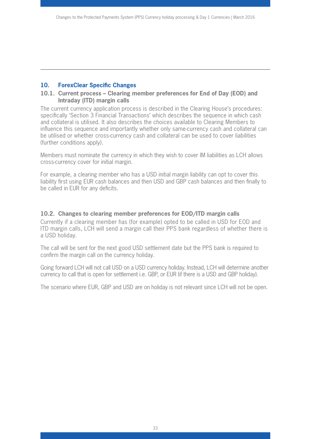#### **10. ForexClear Specific Changes**

#### **10.1. Current process – Clearing member preferences for End of Day (EOD) and Intraday (ITD) margin calls**

The current currency application process is described in the Clearing House's procedures: specifically 'Section 3 Financial Transactions' which describes the sequence in which cash and collateral is utilised. It also describes the choices available to Clearing Members to influence this sequence and importantly whether only same-currency cash and collateral can be utilised or whether cross-currency cash and collateral can be used to cover liabilities (further conditions apply).

Members must nominate the currency in which they wish to cover IM liabilities as LCH allows cross-currency cover for initial margin.

For example, a clearing member who has a USD initial margin liability can opt to cover this liability first using EUR cash balances and then USD and GBP cash balances and then finally to be called in EUR for any deficits.

#### **10.2. Changes to clearing member preferences for EOD/ITD margin calls**

Currently if a clearing member has (for example) opted to be called in USD for EOD and ITD margin calls, LCH will send a margin call their PPS bank regardless of whether there is a USD holiday.

The call will be sent for the next good USD settlement date but the PPS bank is required to confirm the margin call on the currency holiday.

Going forward LCH will not call USD on a USD currency holiday. Instead, LCH will determine another currency to call that is open for settlement i.e. GBP, or EUR (if there is a USD and GBP holiday).

The scenario where EUR, GBP and USD are on holiday is not relevant since LCH will not be open.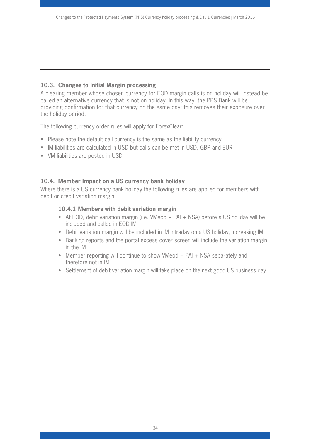### **10.3. Changes to Initial Margin processing**

A clearing member whose chosen currency for EOD margin calls is on holiday will instead be called an alternative currency that is not on holiday. In this way, the PPS Bank will be providing confirmation for that currency on the same day; this removes their exposure over the holiday period.

The following currency order rules will apply for ForexClear:

- Please note the default call currency is the same as the liability currency
- IM liabilities are calculated in USD but calls can be met in USD, GBP and EUR
- VM liabilities are posted in USD

#### **10.4. Member Impact on a US currency bank holiday**

Where there is a US currency bank holiday the following rules are applied for members with debit or credit variation margin:

#### **10.4.1.Members with debit variation margin**

- At EOD, debit variation margin (i.e. VMeod + PAI + NSA) before a US holiday will be included and called in EOD IM
- Debit variation margin will be included in IM intraday on a US holiday, increasing IM
- Banking reports and the portal excess cover screen will include the variation margin in the IM
- Member reporting will continue to show VMeod + PAI + NSA separately and therefore not in IM
- Settlement of debit variation margin will take place on the next good US business day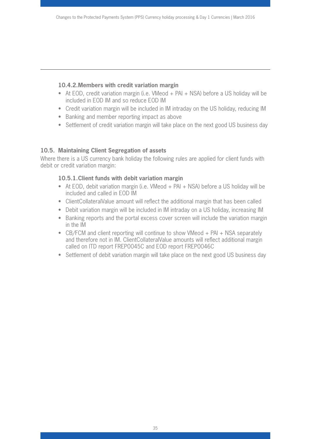#### **10.4.2.Members with credit variation margin**

- At EOD, credit variation margin (i.e. VMeod + PAI + NSA) before a US holiday will be included in EOD IM and so reduce EOD IM
- Credit variation margin will be included in IM intraday on the US holiday, reducing IM
- Banking and member reporting impact as above
- Settlement of credit variation margin will take place on the next good US business day

## **10.5. Maintaining Client Segregation of assets**

Where there is a US currency bank holiday the following rules are applied for client funds with debit or credit variation margin:

## **10.5.1.Client funds with debit variation margin**

- At EOD, debit variation margin (i.e. VMeod + PAI + NSA) before a US holiday will be included and called in EOD IM
- ClientCollateralValue amount will reflect the additional margin that has been called
- Debit variation margin will be included in IM intraday on a US holiday, increasing IM
- Banking reports and the portal excess cover screen will include the variation margin in the IM
- CB/FCM and client reporting will continue to show VMeod + PAI + NSA separately and therefore not in IM. ClientCollateralValue amounts will reflect additional margin called on ITD report FREP0045C and EOD report FREP0046C
- Settlement of debit variation margin will take place on the next good US business day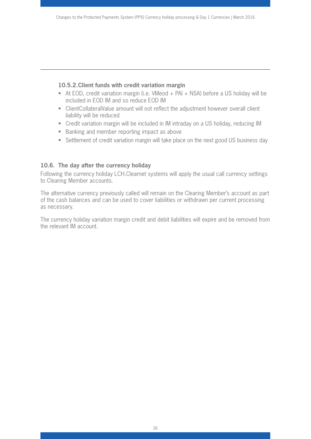#### **10.5.2.Client funds with credit variation margin**

- At EOD, credit variation margin (i.e. VMeod + PAI + NSA) before a US holiday will be included in EOD IM and so reduce EOD IM
- ClientCollateralValue amount will not reflect the adjustment however overall client liability will be reduced
- Credit variation margin will be included in IM intraday on a US holiday, reducing IM
- Banking and member reporting impact as above
- Settlement of credit variation margin will take place on the next good US business day

#### **10.6. The day after the currency holiday**

Following the currency holiday LCH.Clearnet systems will apply the usual call currency settings to Clearing Member accounts.

The alternative currency previously called will remain on the Clearing Member's account as part of the cash balances and can be used to cover liabilities or withdrawn per current processing as necessary.

The currency holiday variation margin credit and debit liabilities will expire and be removed from the relevant IM account.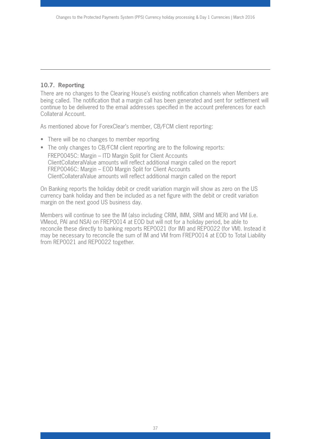#### **10.7. Reporting**

There are no changes to the Clearing House's existing notification channels when Members are being called. The notification that a margin call has been generated and sent for settlement will continue to be delivered to the email addresses specified in the account preferences for each Collateral Account.

As mentioned above for ForexClear's member, CB/FCM client reporting:

- There will be no changes to member reporting
- The only changes to CB/FCM client reporting are to the following reports: FREP0045C: Margin – ITD Margin Split for Client Accounts ClientCollateralValue amounts will reflect additional margin called on the report FREP0046C: Margin – EOD Margin Split for Client Accounts ClientCollateralValue amounts will reflect additional margin called on the report

On Banking reports the holiday debit or credit variation margin will show as zero on the US currency bank holiday and then be included as a net figure with the debit or credit variation margin on the next good US business day.

Members will continue to see the IM (also including CRIM, IMM, SRM and MER) and VM (i.e. VMeod, PAI and NSA) on FREP0014 at EOD but will not for a holiday period, be able to reconcile these directly to banking reports REP0021 (for IM) and REP0022 (for VM). Instead it may be necessary to reconcile the sum of IM and VM from FREP0014 at EOD to Total Liability from REP0021 and REP0022 together.